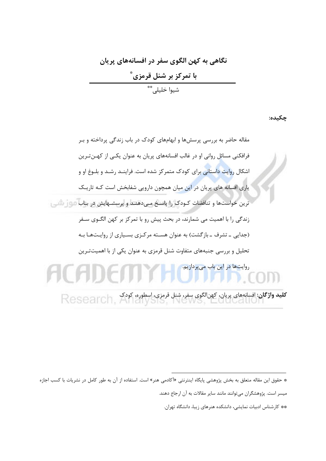## نگاهی به کهن الگوی سفر در افسانههای پریان <mark>با تمرکز بر شنل قرمزی ٌ</mark><br>شیوا خلیلی ٌ ٌ

چکیده:

<sup>\*</sup> حقوق این مقاله متعلق به بخش پژوهشی پایگاه اینترنتی «آکادمی هنر» است. استفاده از آن به طور کامل در نشریات با کسب اجازه

میسر است. پژوهشگران میتوانند مانند سایر مقالات به آن ارجاع دهند.

<sup>\*\*</sup> کارشناس ادبیات نمایشی، دانشکده هنرهای زیبا، دانشگاه تهران.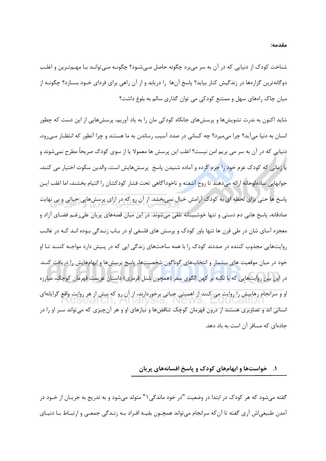شناخت کودک از دنیایی که در آن به سر می,برد چگونه حاصل مـیشـود؟ چگونـه مـیتوانـد بـا مهـمتـرین و اغلـب دوگانهترین گزارهها در زندگیش کنار بیاید؟ پاسخ آنها را دریابد و از آن راهی برای فردای خـود بسـازد؟ چگونــه از میان چاک راههای سهل و ممتنع کودکی می توان گذاری سالم به بلوغ داشت؟

شاید اکنون به ندرت تشویشها و پرسشهای جانکاه کودکی مان را به یاد آوریم، پرسشهایی از این دست که چطور انسان به دنیا می آید؟ چرا می میرد؟ چه کسانی در صدد آسیب رساندن به ما هستند و چرا آنطور که انتظـار مـی رود، دنیایی که در آن به سر می بریم امن نیست؟ اغلب این پرسش ها معمولا یا از سوی کودک صریحاً مطرح نمی شوند و یا زمانی که کودک عزم خود را جزم کرده و آماده شنیدن پاسخ پرسشهایش است، والدین سکوت اختیار می کنند، جوابهایی سادهلوحانه ارائه میدهند تا روح آشفته و ناخودآگاهی تحت فشار کودکشان را التیام بخشند، اما اغلب ایــن پاسخ ها حتی برای لحظه ای به کودک آرامش خیال نمیبخشد. از آن رو که در ازای پرسشهایی حیاتی و بی نهایت صادقانه، پاسخ هایی دم دستی و تنها خوشبینانه تلقی میشوند. در این میان قصههای پریان علیرغـم فضـای آزاد و معجزه آسای شان در طی قرن ها تنها یاور کودک و پرسش های فلسفی او در بـاب زنـدگی بـوده انـد کـه در غالـب روایتهایی مجذوب کننده در صددند کودک را با همه ساحتهای زندگی ایی که در پـیش دارد مواجـه کننـد تـا او خود در میان موقعیت های بیشمار و انتخابهای گوناگون شخصیتها، پاسخ پرسشها و ابهامهایش را دریافت کنـد. در این بین روایتهایی که با تکیه بر کهن الگوی سفر (همچون شنل قرمزی) داستان عزیمت قهرمان کوچک، مبارزه او و سرانجام رهاییش را روایت می کنند از اهمیتی حیاتی برخوردارند، از آن رو که بیش از هر روایت واقع گرایانهای انسانی اند و تصاویری هستند از درون قهرمان کوچک تناقضها و نیازهای او و هر آنچیزی که میتواند سـر او را در جادهای که مسافر آن است به باد دهد.

### ۱. حنواستها و ابهامهای کودک و پاسخ افسانههای پریان

گفته میشود که هر کودک در ابتدا در وضعیت "در خود ماندگی ۱" متولد میشود و به تدریج به جریـان از خــود در آمدن طبیعی|ش آری گفته تا آن که سرانجام می تواند همچــون بقیــه افـراد بــه زنــدگی جمعــی و ارتبــاط بــا دنیــای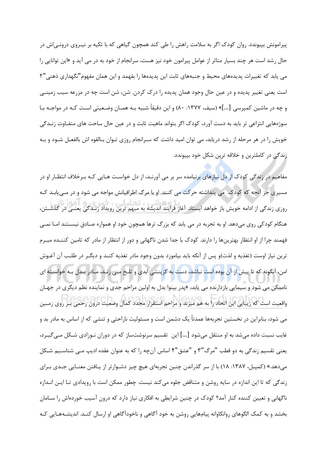پیرامونش بپیوندد. روان کودک اگر به سلامت راهش را طی کند همچون گیاهی که با تکیه بر نیـروی درونـی|ش در حال رشد است هر چند بسیار متاثر از عوامل پیرامون خود نیز هست، سرانجام از خود به در می آید و «این توانایی را می یابد که تغییرات پدیدههای محیط و جنبههای ثابت این پدیدهها را بفهمد و این همان مفهوم"نگهداری ذهنی"۲ است یعنی تغییر پدیده و در عین حال وجود همان پدیده را درک کردن. شن، شن است چه در مزرعه سیب زمینـی و چه در ماشین کمپرسی […]» (سیف، ۱۳۷۷: ۸۰) و این دقیقاً شبیه بـه همـان وضـعیتی اسـت کـه در مواجـه بـا سوژههایی انتزاعی تر باید به دست آورد، کودک اگر بتواند ماهیت ثابت و در عین حال ساحت های متفـاوت زنــدگی خویش را در هر مرحله از رشد دریابد، می توان امید داشت که سـرانجام روزی تـوان بـالقوه اش بالفعـل شـود و بـه زندگی در کاملترین و خلاقه ترین شکل خود بپیوندد.

مفاهیم در زندگی کودک از دل نیازهای برنیامده سر بر می آورنـد، از دل خواسـت هـایی کـه بـرخلاف انتظـار او در مسیری جز آنچه که کودک ً می پنداشته حرکت می کنند. او با مرگ اطرافیانش مواجه می شود و در مـی یابـد کـه .<br>دوزی زندگی از ادامه خویش باز خواهد ایستاد. آغاز فرایند اندیشه به مبهم ترین رویداد زنـدگی یعنـی در گذشــتن، هنگام کودکی روی میدهد. او به تجربه در می یابد که بزرگ ترها همچون خود او همواره صـادق نیســتند امـا نمــی فهمند چرا از او انتظار بهترینها را دارند. کودک با جدا شدن ناگهانی و دور از انتظار از مادر که تامین کننــده مبـرم ترین نیاز اوست (تغذیه و لذت)و پس از آنکه باید بیاموزد بدون وجود مادر تغذیه کنـد و دیگـر در طلـب آن آغـوش امن، آنگونه که تا پیش از آن بوده ا<mark>ست نباشد، دست به گزینشی</mark> ابدی و تلـخ مـی زنـد، مـادر بـدل بـه خواسـته ای ناممکن می شود و سیمایی بازدارنده می یابد، «پدر بینوا بدل به اولین مزاحم جدی و نماینده نظم دیگری در جهـان .<br>واقعیت است که زیبایی این اتحاد را به هم میزند و مزاحم استقرار مجدد کمال وضعیت درون رحمی بـر روی زمــین می شود، بنابراین در نخستین تجربهها عمدتاً یک دشمن است و مسئولیت ناراحتی و تنشی که از اساس به مادر بد و غایب نسبت داده میشد به او منتقل میشود […] این تقسیم سرنوشتساز که در دوران نـوزادی شـکل مـی5یـرد، يعني تقسيم زندگي به دو قطب "مرگ"۳ و "عشق"۴ اساس آنچه را كه به عنوان عقده اديب مـي شناسـيم شـكل میدهد.» (کمپبل، ۱۳۸۷: ۱۸) با از سر گذراندن چنین تجربهای هیچ چیز دشـوارتر از یـافتن معنـایی جـدی بـرای زندگی که تا این اندازه در سایه روشن و متناقض جلوه می کند نیست. چطور ممکن است با رویدادی تـا ایـن انــدازه ناگهانی و تعیین کننده کنار آمد؟ کودک در چنین شرایطی به افکاری نیاز دارد که درون آسیب خوردهاش را سـامان بخشد و به کمک الگوهای روانکاوانه پیامهایی روشن به خود آگاهی و ناخودآگاهی او ارسال کنـد. اندیشـههـایی کـه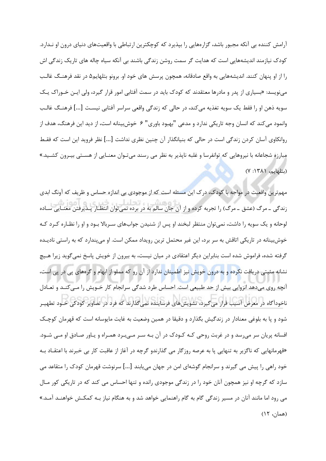آرامش کننده بی آنکه مجبور باشد، گزارههایی را بپذیرد که کوچکترین ارتباطی با واقعیتهای دنیای درون او نـدارد. کودک نیازمند اندیشههایی است که هدایت گر سمت روشن زندگی باشند بی آنکه سیاه چاله های تاریک زندگی اش را از او پنهان کنند. اندیشههایی به واقع صادقانه، همچون پرسش های خود او. برونو بتلهایم۵ در نقد فرهنـگ غالـب مینویسد: «بسیاری از پدر و مادرها معتقدند که کودک باید در سمت آفتابی امور قرار گیرد، ولی ایـن خـوراک یـک سويه ذهن او را فقط يک سويه تغذيه مي کند، در حالي که زندگي واقعي سراسر آفتابي نيست [...] فرهنـگ غالـب وانمود می کند که انسان وجه تاریکی ندارد و مدعی "بهبود باوری" ۶ خوشبینانه است، از دید این فرهنگ، هدف از روانكاوي آسان كردن زندگي است در حالي كه بنيانگذار آن چنين نظري نداشت [...] نظر فرويد اين است كه فقط مبارزه شجاعانه با نیروهایی که توانفرسا و غلبه ناپذیر به نظر می رسند میتـوان معنـایی از هسـتی بیـرون کشـید.» (بتلهايم، ١٣٨١: ٧)

مهمترین واقعیت در مواجه با کودک، درک این مسئله است که از موجودی بی اندازه حساس و ظریف که آونگ ابدی .<br>زندگی ــ مرگ (عشق ــ مرگ) را تجربه کرده و از آن جان سالم به در برده نمیتوان انتظـار پــذیرفتن معنــایی ســاده لوحانه و یک سویه را داشت، نمی توان منتظر لبخند او پس از شنیدن جوابهای سـربالا بـود و او را نظـاره کـرد کـه خوشبینانه در تاریکی اتاقش به سر برد، این غیر محتمل ترین رویداد ممکن است. او میپندارد که به راستی نادیـده گرفته شده، فراموش شده است بنابراین دیگر اعتقادی در میان نیست، به بیرون از خویش پاسخ نمی گوید زیرا هـیچ نشانه مثبتی دریافت نکرده و به درون خویش نیز اطمینان ندارد از آن رو که مملو از ابهام و گرههای پی در پی است، آنچه روی میدهد انزوایی بیش از حد طبیعی است. احساس طرد شدگی سرانجام کار خـویش را مـی کنـد و تعـادل .<br>ناخودآگاه در معرض آسیب قرار می<sup>5</sup>یرد، تشویشهای فرساینده نمی گذارند که فرد در تصاویر کودکی خـود تطهیـر شود و پا به بلوغی معنادار در زندگیش بگذارد و دقیقا در همین وضعیت به غایت مایوسانه است که قهرمان کوچـک افسانه پریان سر میرسد و در غربت روحی کـه کـودک در آن بـه سـر مـیبـرد همـراه و یـاور صـادق او مـی شـود. «قهرمانهایی که ناگزیر به تنهایی یا به عرصه روزگار می گذارندو گرچه در آغاز از عاقبت کار بی خبرند با اعتقــاد بــه خود راهی را پیش می گیرند و سرانجام گوشهای امن در جهان مییابند […] سرنوشت قهرمان کودک را متقاعد می سازد که گرچه او نیز همچون آنان خود را در زندگی موجودی رانده و تنها احساس می کند که در تاریکی کور مـال می رود اما مانند آنان در مسیر زندگی گام به گام راهنمایی خواهد شد و به هنگام نیاز بـه کمکـش خواهنــد آمــد.» (همان، ۱۲)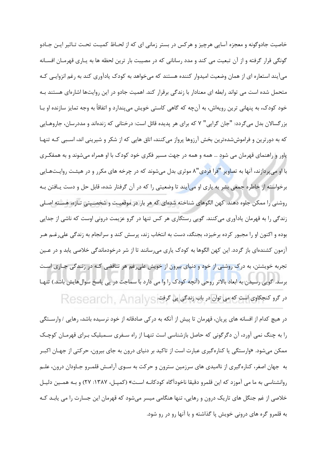خاصیت جادوگونه و معجزه آسایی هرچیز و هرکس در بستر زمانی ای که از لحـاظ کمیـت تحـت تـاثیر ایـن جـادو گونگی قرار گرفته و از آن تبعیت می کند و مدد رسانانی که در مصیبت بار ترین لحظه ها به پـاری قهرمـان افسـانه میآیند استعاره ای از همان وضعیت امیدوار کننده هستند که میخواهد به کودک یادآوری کند به رغم انزوایی کـه متحمل شده است می تواند رابطه ای معنادار با زندگی برقرار کند. اهمیت جادو در این روایتها اشارهای هستند بـه خود کودک، به پنهانی ترین رویهاش، به آنچه که گاهی کاستی خویش میپندارد و اتفاقاً به وجه تمایز سازنده او بـا بزرگسالان بدل میگردد: "جان گرایی" ۷ که برای هر پدیده قائل است: درختانی که زندهاند و مددرسان، جاروهـایی که به دورترین و فراموششدهترین بخش آرزوها پرواز میکنند، اتاق هایی که از شکر و شیرینی اند، اسـبی کـه تنهـا یاور و راهنمای قهرمان می شود … همه و همه در جهت مسیر فکری خود کودک با او همراه میشوند و به همفکـری با او میپردازند، آنها به تصاویر "فرا فردی"۸ موثری بدل میشوند که در چرخه های مکرر و در هیئت روایـتهـایی برخواسته از خاطره جمعی بشر به یاری او میآیند تا وضعیتی را که در آن گرفتار شده، قابل حل و دست یـافتن بـه روشنی را ممکن جلوه دهند. کهن الگوهای شناخته شدهای که هر بار در موقعیت و شخصـیتی تـازه، هسـته اصـلی زندگی را به قهرمان یادآوری می کنند. گویی رستگاری هر کس تنها در گرو عزیمت درونی اوست که ناشی از جدایی بوده و اکنون او را مجبور کرده برخیزد، بجنگد، دست به انتخاب زند، پرسش کند و سرانجام به زندگی علی رغـم هـر آزمون کشندهای باز گردد. این کهن الگوها به کودک پاری میرسانند تا از شر درخودماندگی خلاصی پابد و در عـین تجربه خویشتن، به درک روشنی از خود و دنیای بیرون از خویش علی غم شر تناقضی کـه در زنـدگی جـاری اسـت برسد. گویی رسیدن به ابعاد بالاتر روحی (آنچه کودک را وا می دارد با سماجت در پی پاسخ سوالهایش باشد.) تنهـا در گرو کنجکاوی است که می توان در باب زندگی پی گرفت. Research, Analys

در هیچ کدام از افسانه های پریان، قهرمان تا پیش از آنکه به درکی صادقانه از خود نرسیده باشد، رهایی / وارسـتگی را به چنگ نمی آورد، آن دگرگونی که حاصل بازشناسی است تنهـا از راه سـفری سـمبلیک بـرای قهرمـان کوچـک ممکن می شود. «وارستگی یا کنارهگیری عبارت است از تاکید بر دنیای درون به جای بیرون، حرکتی از جهـان اکبـر به جهان اصغر، کنارهگیری از ناامیدی های سرزمین سترون و حرکت به سـوی آرامـش قلمـرو جـاودان درون، علـم روانشناسی به ما می آموزد که این قلمرو دقیقا ناخودآگاه کودکانـه اسـت» (کمپـل، ۱۳۸۷: ۲۷) و بـه همـین دلیـل خلاصی از غم جنگل های تاریک درون و رهایی، تنها هنگامی میسر میشود که قهرمان این جسارت را می پابـد کـه به قلمرو گره های درونی خویش پا گذاشته و با آنها رو در رو شود.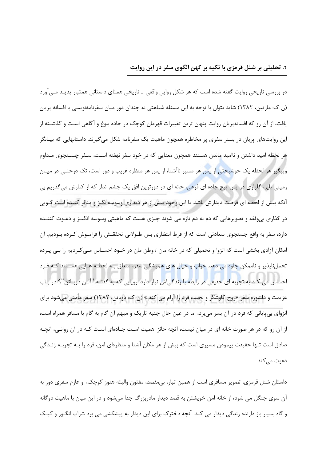### ۲. تحلیلی بر شنل قرمزی با تکیه بر کهن الگوی سفر در این روایت

در بررسی تاریخی روایت گفته شده است که هر شکل روایی واقعی ــ تاریخی همتای داستانی همتبار پدیـد مـی[ورد (ن ک: مارتین، ۱۳۸۲) شاید بتوان با توجه به این مسئله شباهتی نه چندان دور میان سفرنامهنویسی با افسانه پریان یافت، از آن رو که افسانهپریان روایت پنهان ترین تغییرات قهرمان کوچک در جاده بلوغ و آگاهی است و گذشــته از این روایتهای پریان در بستر سفری پر مخاطره همچون ماهیت یک سفرنامه شکل میگیرند. داستانهایی که بیـانگر هر لحظه امید داشتن و ناامید ماندن هستند همچون معنایی که در خود سفر نهفته است، سـفر چسـتجوی مـداوم وپیگیر هر لحظه یک خوشبخت<mark>ی</mark> از پس هر مسیر ناآشنا، از پس هر منظره غریب و دور است، تک درختـی در میـان زمینی بایر، گلزاری در پس پیچ جاده ای فرعی، خانه ای در دورترین افق یک چشم انداز که از کنارش میگذریم بی آنکه بیش از لحظه ای فرصت دیدارش باشد. با این وجود بیش از هر دیداری وسوسهانگیز و متاثر کننده است گـویی در گذاری بی وقفه و تصویرهایی که دم به دم تازه می شوند چیزی هست که ماهیتی وسوسه انگیـز و دعـوت کننـده دارد، سفر به واقع جستجوی سعادتی است که از فرط انتظاری بس طــولانی تحققــش را فرامــوش کــرده بــودیم. آن امکان آزادی بخشی است که انزوا و تحمیلی که در خانه مان / وطن مان در خــود احســاس مــی کــردیم را بــی پــرده تحمل نایذیر و ناممکن جلوه می دهد. خواب و خیال های همیشگی سفر، متعلق بـه لحظـه هـایی هسـتند کـه فـرد احساس می کند به تجربه ای حقیقی در رابطه با زندگیاش نیاز دارد. رویایی که به گفتـه "آلـن دوبـاتن"۹ در بـاب عزیمت و دلشوره سفر «روح کاوشگر و نجیب فرد را آرام می کند.» (ن ک: دوباتن، ۱۳۸۷) سفر مأمنی میشود برای انزوای بیپایانی که فرد در آن بسر میبرد، اما در عین حال جنبه تاریک و مبهم آن گام به گام با مسافر همراه است، از آن رو که در هر صورت خانه ای در میان نیست، آنچه حائز اهمیت اسـت جـادهای اسـت کـه در آن روانـی، آنچـه صادق است تنها حقیقت پیمودن مسیری است که بیش از هر مکان آشنا و منظرهای امن، فرد را بـه تجربـه زنـدگی دعوت می کند.

داستان شنل قرمزی، تصویر مسافری است از همین تبار، بی،مقصد، مفتون والبته هنوز کوچک، او عازم سفری دور به آن سوی جنگل می شود، از خانه امن خویشتن به قصد دیدار مادربزرگ جدا می شود و در این میان با ماهیت دوگانه و گاه بسیار باز دارنده زندگی دیدار می کند. آنچه دخترک برای این دیدار به پیشکشی می برد شراب انگـور و کیـک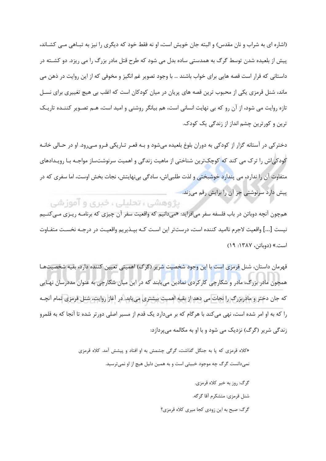(اشاره ای به شراب و نان مقدس) و البته جان خویش است، او نه فقط خود که دیگری را نیز به تبـاهی مــی کشــاند، پیش از بلعیده شدن توسط گرگ به همدستی ساده بدل می شود که طرح قتل مادر بزرگ را می ریزد. دو کشــته در داستانی که قرار است قصه هایی برای خواب باشند … با وجود تصویر غم انگیز و مخوفی که از این روایت در ذهن می ماند، شنل قرمزی یکی از محبوب ترین قصه های پریان در میان کودکان است که اغلب بی هیچ تغییری برای نسـل تازه روایت می شود، از آن رو که بی نهایت انسانی است، هم بیانگر روشنی و امید است، هـم تصـویر کننـده تاریـک ترین و کورترین چشم انداز از زندگی یک کودک.

دختر کې در آستانه گزار از کودکي به دوران بلوغ بلعيده مي شود و بـه قعـر تـاريکي فـرو مـي رود. او در حـالي خانـه کودکی|ش را ترک می کند که کوچک ترین شناختی از ماهیت زندگی و اهمیت سرنوشتساز مواجـه بـا رویـدادهای متفاوت آن را ندارد، می پندارد خوشبختی و لذت طلبی|ش، سادگی بینهایتش، نجات بخش اوست، اما سفری که در پیش دارد سرنوشتی جز آن را برایش رقم میزند.

ېژوهشې، تحليلې، خبرې و آموز شې

همچون آنچه دوباتن در باب فلسفه سفر می|فزاید: «میدانیم که واقعیت سفر آن چیزی که برنامــه ریــزی مــی *کنــ*یم نيست [...] واقعيت لاجرم نااميد كننده است، درستتر اين اسـت كـه بيـذيريم واقعيـت در درجـه نخسـت متفـاوت است.» (دوباتن، ۱۳۸۷: ۱۹)

قهرمان داستان، شنل قرمزي است با اين وجود شخصيت شرير (گرگ) اهميتي تعيين كننده دارد، بقيه شخصيتهـا همچون مادر بزرگ، مادر و شکارچی کارکردی نمادین مییابند که در این میان شکارچی به عنوان مددرسان نهـایی که جان دختر و مادربزرگ را نجات می دهد از بقیه اهمیت بیشتری می بابد. در آغاز روایت، شنل قرمزی تمام آنچـه را که به او امر شده است، نهی می کند با هر گام که بر می۱دارد یک قدم از مسیر اصلی دورتر شده تا آنجا که به قلمرو زندگی شریر (گرگ) نزدیک می شود و با او به مکالمه میپردازد:

> «کلاه قرمزی که یا به جنگل گذاشت، گرگی چشمش به او افتاد و پیشش آمد. کلاه قرمزی نمی دانست گرگ چه موجود خبیثی است و به همین دلیل هیچ از او نمی ترسید. گرگ: روز به خیر کلاه قرمزی. شنل قرمزي: متشكرم آقا گرگه. گرگ: صبح به این زودی کجا میری کلاه قرمزی؟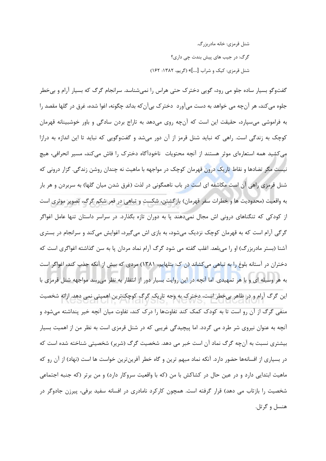شنل قرمزي: خانه مادرېزرگ. گرگ: در جیب های پیش بندت چی داری؟ شنل قرمزي: کیک و شراب [...]» (گریم، ۱۳۸۲: ۱۶۲)

گفتوگو بسیار ساده جلو می رود، گویی دخترک حتی هراس را نمیشناسد. سرانجام گرگ که بسیار آرام و بی خطر جلوه مي كند، هر آنچه مي خواهد به دست ميآورد دختر ک بيآن که بداند چگونه، اغوا شده، غرق در گلها مقصد را به فراموشی می سپارد، حقیقت این است که آنچه روی میدهد به تاراج بردن سادگی و باور خوشبینانه قهرمان کوچک به زندگی است. راهی که نباید شنل قرمز از آن دور میشد و گفتوگویی که نباید تا این اندازه به درازا می کشید همه استعارهای موثر هستند از آنچه محتویات ِ ناخودآگاه دخترک را فاش می کند، مسیر انحرافی، هیچ نیست مگر تضادها و نقاط تاریک درون قهرمان کوچک در مواجهه با ماهیت نه چندان روشن زندگی. گزار درونی که شنل قرمزی راهی آن است مکاشفه ای است در باب ناهمگونی در لذت (غرق شدن میان گلها) به سربردن و هر بار به واقعیت (محدودیت ها و خطرات سفر قهرمان) بازگشتن، شکست و تباهی در قعر شکم گرگ، تصویر موثری است از کودکی که تنگناهای درونی اش مجال نمیدهند پا به دوران تازه بگذارد. در سراسر داستان تنها عامل اغواگر گرگی آرام است که به قهرمان کوچک نزدیک می شود، به بازی اش می گیرد، اغوایش می کند و سرانجام در بستری آشنا (بستر مادربزرگ) او را می بلعد. اغلب گفته می شود گرگ آرام نماد مردان یا به سن گذاشته اغواگری است که دختران در آستانه بلوغ را به تباهی می کشاند (ن ک: بتلهایم، ۱۳۸۱) مردی که بیش از آنکه جذب کند، اغواگر است به هر وسیله ای و با هر تمهیدی. اما آنچه د<mark>ر این روایت بسیار</mark> دور از انتظار به نظر میرسد مواجهه شنل قرمزی با این گرگ آرام و در ظاهر بیخطر است، دخترک به وجه تاریک گرگ کوچکترین اهمیتی نمی دهد. ارائه شخصیت منفی گرگ از آن رو است تا به کودک کمک کند تفاوتها را درک کند، تفاوت میان آنچه خیر پنداشته میشود و آنچه به عنوان نیروی شر طرد می گردد. اما پیچیدگی غریبی که در شنل قرمزی است به نظر من از اهمیت بسیار بیشتری نسبت به انچه گرگ نماد ان است خبر می دهد. شخصیت گرگ (شریر) شخصیتی شناخته شده است که در بسیاری از افسانهها حضور دارد. آنکه نماد مبهم ترین و گاه خطر آفرینترین خواست ها است (نهاد) از آن رو که ماهیت ابتدایی دارد و در عین حال در کشاکش با من (که با واقعیت سروکار دارد) و من برتر (که جنبه اجتماعی شخصیت را بازتاب می دهد) قرار گرفته است. همچون کارکرد نامادری در افسانه سفید برفی، پیرزن جادوگر در هنسل و گرتل.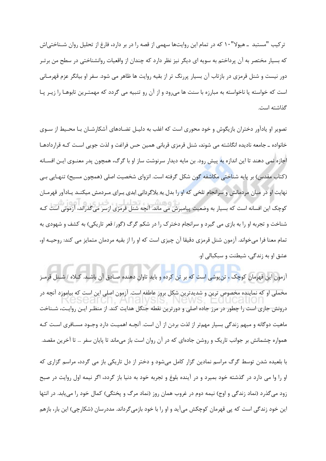ترکیب "مستبد \_ هیولا"۱۰ که در تمام این روایتها سهمی از قصه را در بر دارد، فارغ از تحلیل روان شـناختی|ش که بسیار مختصر به آن پرداختم به سویه ای دیگر نیز نظر دارد که چندان از واقعیات روانشناختی در سطح من برتـر دور نیست و شنل قرمزی در بازتاب آن بسیار پررنگ تر از بقیه روایت ها ظاهر می شود. سفر او بیانگر عزم قهرمـانی است که خواسته یا ناخواسته به مبارزه با سنت ها میرود و از آن رو تنبیه می گردد که مهمتـرین تابوهـا را زیـر پـا گذاشته است.

تصویر او یادآور دختران بازیگوش و خود محوری است که اغلب به دلیـل تضـادهای آشکارشـان بـا محـیط از سـوی خانواده ــ جامعه نادیده انگاشته می شوند، شنل قرمزی قربانی همین حس فراغت و لذت جویی اسـت کــه قراردادهــا اجازه نمی دهند تا این اندازه به پیش رود. بن مایه دیدار سرنوشت ساز او با گرگ، همچون پدر معنـوی ایـن افسـانه (کتاب مقدس) بر پایه شناختی مکاشفه گون شکل گرفته است. انزوای شخصیت اصلی (همچون مسیح) تنهـایی بـی نهایت او در میان مردمانش و سرانجام تلخی که او را بدل به بلاگردانی ابدی بـرای مـردمش میکنـد یـادآور قهرمـان ۔<br>کوچک این افسانه است که بسیار به وضعیت پیامبرش می ماند. آنچه شنل قرمزی ازسر می *گ*ذراند، آزمونی است کــه شناخت و تجربه او را به بازی می گیرد و سرانجام دخترک را در شکم گرگ (گور/ قعر تاریکی) به کشف و شهودی به تمام معنا فرا میخواند. آزمون شنل قرمزی دقیقا آن چیزی است که او را از بقیه مردمان متمایز می کند: روحیــه او، عشق او به زندگی، شیطنت و سبکبالی او.

آزمون این قهرمان کوچک ، تن پوشی است که بر تن کرده و باید تاوان دهنده صـادق آن باشـد. کــلاه / شــنل قرمـز مخملی او که نماینده مخصوص ترین و شدیدترین شکل بروز عاطفه است. آزمون اصلی این است که بیاموزد انچه در درونش جاری است را چطور در مرز جاده اصلی و دورترین نقطه جنگل هدایت کند. از منظـر ایـن روایـت، شـناخت ماهیت دوگانه و مبهم زندگی بسیار مهمتر از لذت بردن از ان است. انچـه اهمیـت دارد وجـود مسـافری اسـت کـه همواره چشمانش بر جوانب تاریک و روشن جادهای که در آن روان است باز میماند تا پایان سفر … تا آخرین مقصد. با بلعیده شدن توسط گرگ مراسم نمادین گزار کامل میشود و دختر از دل تاریکی باز می گردد، مراسم گزاری که او را وا می دارد در گذشته خود بمیرد و در آینده بلوغ و تجربه خود به دنیا باز گردد، اگر نیمه اول روایت در صبح زود میگذرد (نماد زندگی و اوج) نیمه دوم در غروب همان روز (نماد مرگ و پختگی) کمال خود را می یابد. در انتها

این خود زندگی است که پی قهرمان کوچکش میآید و او را با خود بازمیگرداند. مددرسان (شکارچی) این بار، بازهم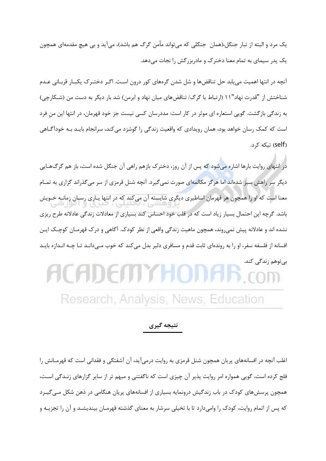یک مرد و البته از تبار جنگل،(همان جنگلی که می تواند مأمن گرگ هم باشد)، می آید و بی هیچ مقدمهای همچون یک پدر سیمای به تمام معنا دخترک و مادربزرگش را نجات میدهد.

آنچه در انتها اهمیت می یابد حل تناقضها و شل شدن گرههای کور درون است. اگـر دختـرک یکبـار قربـانی عـدم شناختش از "قدرت نهاد"١١ (ارتباط با گرگ/ تناقضهای میان نهاد و ابرمن) شد بار دیگر به دست من (شـكارچی) به زندگی بازگشت. گویی استعاره ای موثر در کار است: مددرسان کسی نیست جز خود قهرمان، در انتها این من فرد است که کمک رسان خواهد بود، همان رویدادی که واقعیت زندگی را گوشزد می کند، سرانجام بایـد بـه خودآگـاهی (self) تىكە ك<sub>ر</sub>د.

در انتهای روایت بارها اشاره میشود که پس از آن روز، دخترک بازهم راهی آن جنگل شده است، باز هم گرگ&ایی دیگر سر راهش سبز شدهاند اما هرگز مکالمهای صورت نمیگیرد. آنچه شنل قرمزی از سر میگذراند گزاری به تمـام معنا است که او را همچون هر قهرمان اساطیری دیگری شایسته آن میکند که در انتها یـاری رسـان زمانـه خـویش باشد. گرچه این احتمال بسیار زیاد است که در قلب خود احساس کند بسیاری از معادلات زندگی عادلانه طرح ریزی نشده اند و عادلانه پیش نمیروند، همچون ماهیت زندگی واقعی از نظر کودک. آگاهی و درک قهرمـان کوچـک ایـن افسانه از فلسفه سفر، او را به روندهای ثابت قدم و مسافری دلیر بدل میکند که خوب مـیدانـد تـا چـه انـدازه بایـد

### بىتوهم زندگى كند. HCHDEITIYHC Research, Analysis, News, Education

### نتيجه گيري

اغلب آنچه در افسانههای پریان همچون شنل قرمزی به روایت درمیآید، آن آشفتگی و فقدانی است که قهرمـانش را فلج کرده است، گویی همواره امر روایت پذیر آن چیزی است که ناگفتنی و مبهم تر از سایر گزارهای زنـدگی اسـت، همچون پرسشهای کودک در باب زندگیش درونمایه بسیاری از افسانههای پرپان هنگامی در ذهن شکل مـی گیـرد که پس از اتمام روایت، کودک را وامیدارد تا با تخیلی سرشار به معنای گذشته قهرمـان بیندیشـد و آن را تجزیـه و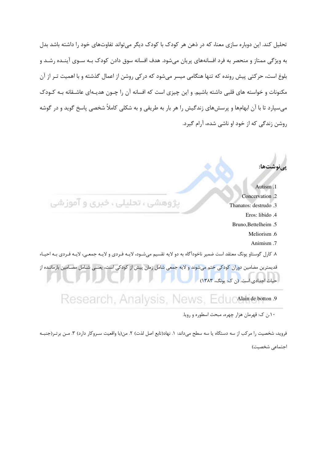تحلیل کند. این دوباره سازی معنا، که در ذهن هر کودک با کودک دیگر می تواند تفاوتهای خود را داشته باشد بدل به ویژگی ممتاز و منحصر به فرد افسانههای پریان می شود. هدف افسانه سوق دادن کودک بـه سـوی آینـده رشـد و .<br>بلوغ است، حرکتی پیش رونده که تنها هنگامی میسر میشود که درکی روشن از اعمال گذشته و با اهمیت تـر از آن مکنونات و خواسته های قلبی داشته باشیم. و این چیزی است که افسانه آن را چــون هدیــهای عاشــقانه بــه کــودک می سپارد تا با آن ابهامها و پرسشهای زندگیش را هر بار به طریقی و به شکلی کاملاً شخصی پاسخ گوید و در گوشه روشن زندگی که از خود او ناشی شده، آرام گیرد.



فرويد، شخصيت را مركب از سه دستگاه يا سه سطح مىداند: ١. نهاد(تابع اصل لذت) ٢. من(با واقعيت سـروكار دارد) ٣. مـن برتـر(جنبـه اجتماعي شخصيت)